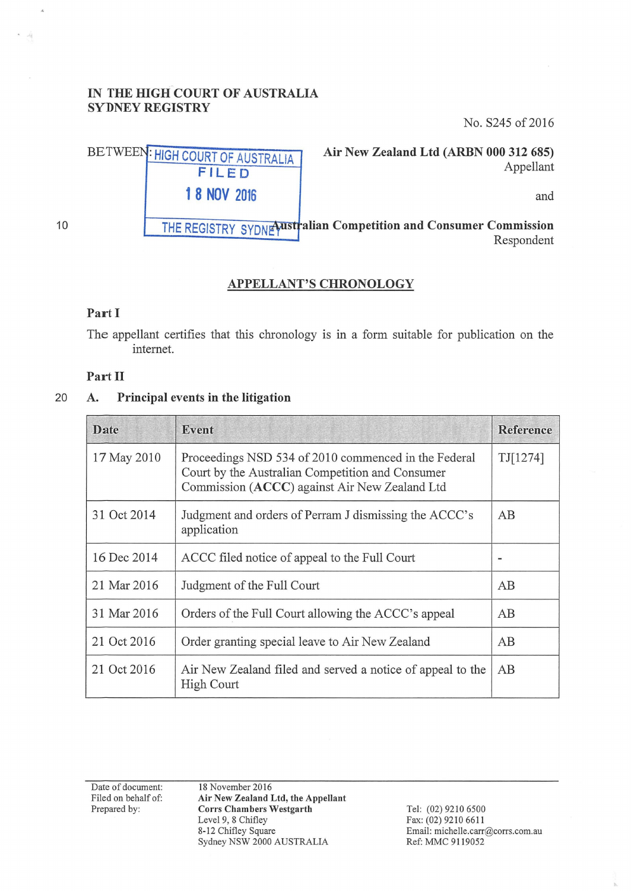#### IN THE HIGH COURT OF AUSTRALIA SYDNEY REGISTRY

No. S245 of 2016



Air New Zealand Ltd (ARBN 000 312 685) Appellant

and

THE REGISTRY SYDNE with alian Competition and Consumer Commission Respondent

### APPELLANT'S CHRONOLOGY

#### Part I

10

The appellant certifies that this chronology is in a form suitable for publication on the internet.

#### Part II

#### 20 A. Principal events in the litigation

| Date        | Event                                                                                                                                                     | Reference |
|-------------|-----------------------------------------------------------------------------------------------------------------------------------------------------------|-----------|
| 17 May 2010 | Proceedings NSD 534 of 2010 commenced in the Federal<br>Court by the Australian Competition and Consumer<br>Commission (ACCC) against Air New Zealand Ltd | TJ[1274]  |
| 31 Oct 2014 | Judgment and orders of Perram J dismissing the ACCC's<br>application                                                                                      | AB        |
| 16 Dec 2014 | ACCC filed notice of appeal to the Full Court                                                                                                             |           |
| 21 Mar 2016 | Judgment of the Full Court                                                                                                                                | AB        |
| 31 Mar 2016 | Orders of the Full Court allowing the ACCC's appeal                                                                                                       | AB        |
| 21 Oct 2016 | Order granting special leave to Air New Zealand                                                                                                           | AB        |
| 21 Oct 2016 | Air New Zealand filed and served a notice of appeal to the<br><b>High Court</b>                                                                           | AB        |

Date of document: Filed on behalf of: Prepared by:

18 November 2016 Air New Zealand Ltd, the Appellant Corrs Chambers Westgarth Level 9, 8 Chifley 8-12 Chifley Square Sydney NSW 2000 AUSTRALIA

Tel: (02) 9210 6500 Fax: (02) 9210 6611 Email: michelle.carr@corrs.com.au Ref: MMC 9119052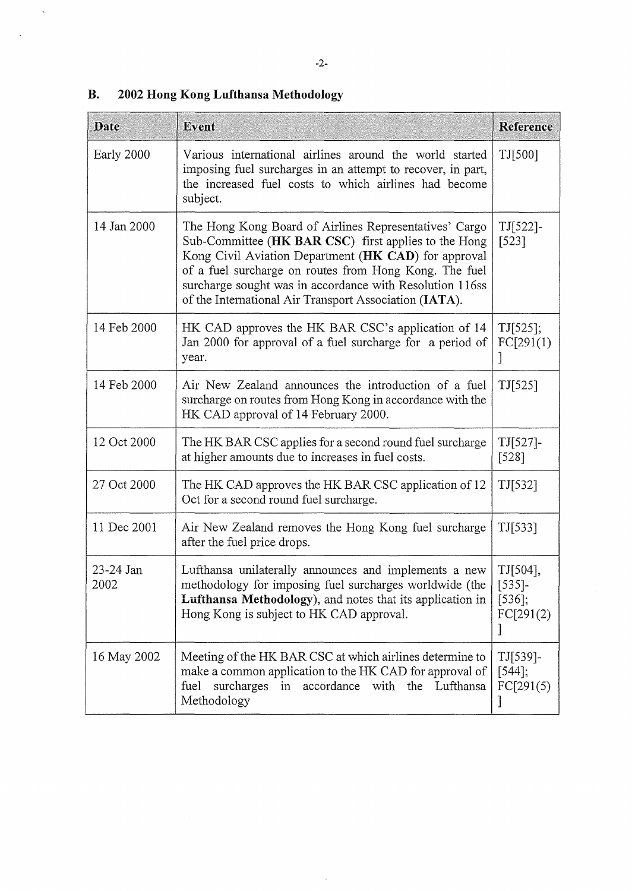| <b>Date</b>       | Event                                                                                                                                                                                                                                                                                                                                                  | Reference                                       |
|-------------------|--------------------------------------------------------------------------------------------------------------------------------------------------------------------------------------------------------------------------------------------------------------------------------------------------------------------------------------------------------|-------------------------------------------------|
| Early 2000        | Various international airlines around the world started<br>imposing fuel surcharges in an attempt to recover, in part,<br>the increased fuel costs to which airlines had become<br>subject.                                                                                                                                                            | TJ[500]                                         |
| 14 Jan 2000       | The Hong Kong Board of Airlines Representatives' Cargo<br>Sub-Committee (HK BAR CSC) first applies to the Hong<br>Kong Civil Aviation Department (HK CAD) for approval<br>of a fuel surcharge on routes from Hong Kong. The fuel<br>surcharge sought was in accordance with Resolution 116ss<br>of the International Air Transport Association (IATA). | $TI[522]$ -<br>$[523]$                          |
| 14 Feb 2000       | HK CAD approves the HK BAR CSC's application of 14<br>Jan 2000 for approval of a fuel surcharge for a period of<br>year.                                                                                                                                                                                                                               | TI[525];<br>FC[291(1)                           |
| 14 Feb 2000       | Air New Zealand announces the introduction of a fuel<br>surcharge on routes from Hong Kong in accordance with the<br>HK CAD approval of 14 February 2000.                                                                                                                                                                                              | TI[525]                                         |
| 12 Oct 2000       | The HK BAR CSC applies for a second round fuel surcharge<br>at higher amounts due to increases in fuel costs.                                                                                                                                                                                                                                          | $TI[527]$ -<br>$[528]$                          |
| 27 Oct 2000       | The HK CAD approves the HK BAR CSC application of 12<br>Oct for a second round fuel surcharge.                                                                                                                                                                                                                                                         | TI[532]                                         |
| 11 Dec 2001       | Air New Zealand removes the Hong Kong fuel surcharge<br>after the fuel price drops.                                                                                                                                                                                                                                                                    | TI[533]                                         |
| 23-24 Jan<br>2002 | Lufthansa unilaterally announces and implements a new<br>methodology for imposing fuel surcharges worldwide (the<br>Lufthansa Methodology), and notes that its application in<br>Hong Kong is subject to HK CAD approval.                                                                                                                              | TJ[504],<br>$[535]$ -<br>$[536]$ ;<br>FC[291(2) |
| 16 May 2002       | Meeting of the HK BAR CSC at which airlines determine to<br>make a common application to the HK CAD for approval of<br>surcharges<br>fuel<br>in accordance with the Lufthansa<br>Methodology                                                                                                                                                           | $TI[539]-$<br>$[544]$ ;<br>FC[291(5)            |

 $\bar{z}$ 

# **B. 2002 Hong Kong Lufthansa Methodology**

 $\hat{\mathbf{A}}$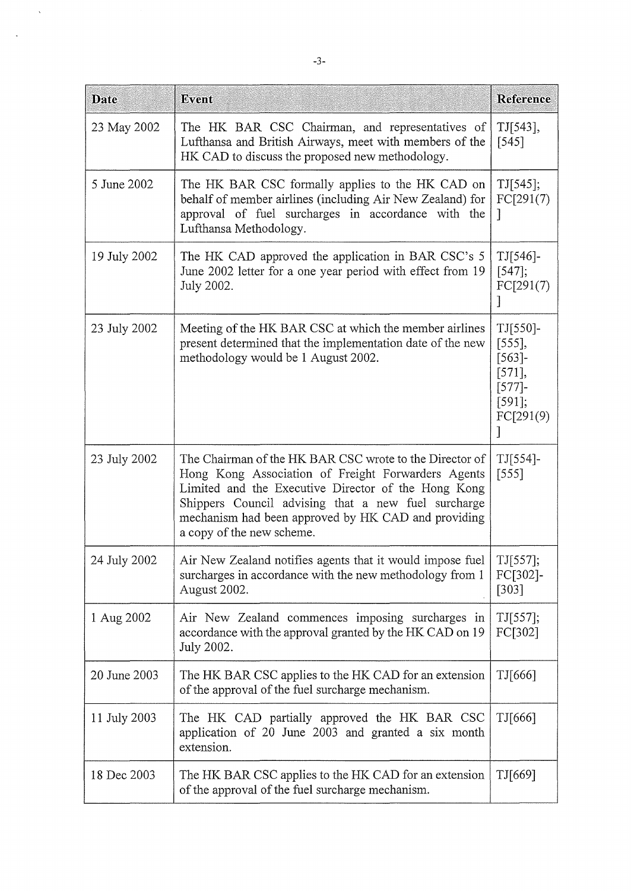| <b>Date</b>  | Event                                                                                                                                                                                                                                                                                                           | <b>Reference</b>                                                                    |
|--------------|-----------------------------------------------------------------------------------------------------------------------------------------------------------------------------------------------------------------------------------------------------------------------------------------------------------------|-------------------------------------------------------------------------------------|
| 23 May 2002  | The HK BAR CSC Chairman, and representatives of<br>Lufthansa and British Airways, meet with members of the<br>HK CAD to discuss the proposed new methodology.                                                                                                                                                   | TJ[543],<br>$[545]$                                                                 |
| 5 June 2002  | The HK BAR CSC formally applies to the HK CAD on<br>behalf of member airlines (including Air New Zealand) for<br>approval of fuel surcharges in accordance with the<br>Lufthansa Methodology.                                                                                                                   | TI[545];<br>FC[291(7)]<br>$\overline{\phantom{a}}$                                  |
| 19 July 2002 | The HK CAD approved the application in BAR CSC's 5<br>June 2002 letter for a one year period with effect from 19<br>July 2002.                                                                                                                                                                                  | $TI[546]$ -<br>$[547]$ ;<br>FC[291(7)                                               |
| 23 July 2002 | Meeting of the HK BAR CSC at which the member airlines<br>present determined that the implementation date of the new<br>methodology would be 1 August 2002.                                                                                                                                                     | TJ[550]-<br>[555],<br>$[563]$ -<br>$[571]$ ,<br>$[577]$ -<br>$[591]$ ;<br>FC[291(9) |
| 23 July 2002 | The Chairman of the HK BAR CSC wrote to the Director of<br>Hong Kong Association of Freight Forwarders Agents<br>Limited and the Executive Director of the Hong Kong<br>Shippers Council advising that a new fuel surcharge<br>mechanism had been approved by HK CAD and providing<br>a copy of the new scheme. | $TJ[554]$ -<br>[555]                                                                |
| 24 July 2002 | Air New Zealand notifies agents that it would impose fuel   TJ[557];<br>surcharges in accordance with the new methodology from 1<br>August 2002.                                                                                                                                                                | FC[302]-<br>$[303]$                                                                 |
| 1 Aug 2002   | Air New Zealand commences imposing surcharges in<br>accordance with the approval granted by the HK CAD on 19<br>July 2002.                                                                                                                                                                                      | TJ[557];<br>FC[302]                                                                 |
| 20 June 2003 | The HK BAR CSC applies to the HK CAD for an extension<br>of the approval of the fuel surcharge mechanism.                                                                                                                                                                                                       | TJ[666]                                                                             |
| 11 July 2003 | The HK CAD partially approved the HK BAR CSC<br>application of 20 June 2003 and granted a six month<br>extension.                                                                                                                                                                                               | TJ[666]                                                                             |
| 18 Dec 2003  | The HK BAR CSC applies to the HK CAD for an extension<br>of the approval of the fuel surcharge mechanism.                                                                                                                                                                                                       | TJ[669]                                                                             |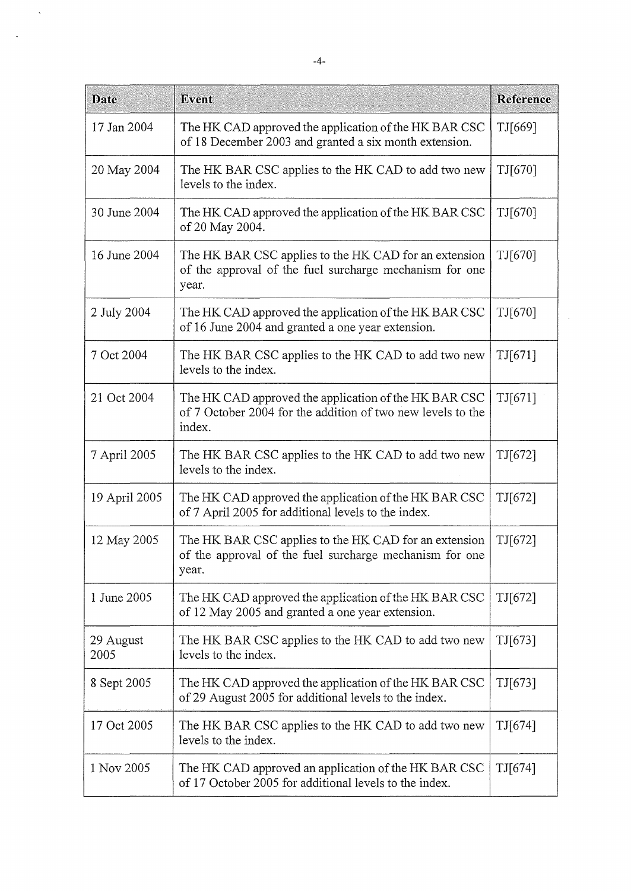| <b>Date</b>       | Event                                                                                                                          | <b>Reference</b> |
|-------------------|--------------------------------------------------------------------------------------------------------------------------------|------------------|
| 17 Jan 2004       | The HK CAD approved the application of the HK BAR CSC<br>of 18 December 2003 and granted a six month extension.                | TJ[669]          |
| 20 May 2004       | The HK BAR CSC applies to the HK CAD to add two new<br>levels to the index.                                                    | TJ[670]          |
| 30 June 2004      | The HK CAD approved the application of the HK BAR CSC<br>of 20 May 2004.                                                       | TJ[670]          |
| 16 June 2004      | The HK BAR CSC applies to the HK CAD for an extension<br>of the approval of the fuel surcharge mechanism for one<br>year.      | TJ[670]          |
| 2 July 2004       | The HK CAD approved the application of the HK BAR CSC<br>of 16 June 2004 and granted a one year extension.                     | TJ[670]          |
| 7 Oct 2004        | The HK BAR CSC applies to the HK CAD to add two new<br>levels to the index.                                                    | TJ[671]          |
| 21 Oct 2004       | The HK CAD approved the application of the HK BAR CSC<br>of 7 October 2004 for the addition of two new levels to the<br>index. | TJ[671]          |
| 7 April 2005      | The HK BAR CSC applies to the HK CAD to add two new<br>levels to the index.                                                    | TI[672]          |
| 19 April 2005     | The HK CAD approved the application of the HK BAR CSC<br>of 7 April 2005 for additional levels to the index.                   | TI[672]          |
| 12 May 2005       | The HK BAR CSC applies to the HK CAD for an extension<br>of the approval of the fuel surcharge mechanism for one<br>year.      | TJ[672]          |
| 1 June 2005       | The HK CAD approved the application of the HK BAR CSC<br>of 12 May 2005 and granted a one year extension.                      | TJ[672]          |
| 29 August<br>2005 | The HK BAR CSC applies to the HK CAD to add two new<br>levels to the index.                                                    | TI[673]          |
| 8 Sept 2005       | The HK CAD approved the application of the HK BAR CSC<br>of 29 August 2005 for additional levels to the index.                 | TJ[673]          |
| 17 Oct 2005       | The HK BAR CSC applies to the HK CAD to add two new<br>levels to the index.                                                    | TJ[674]          |
| 1 Nov 2005        | The HK CAD approved an application of the HK BAR CSC<br>of 17 October 2005 for additional levels to the index.                 | TJ[674]          |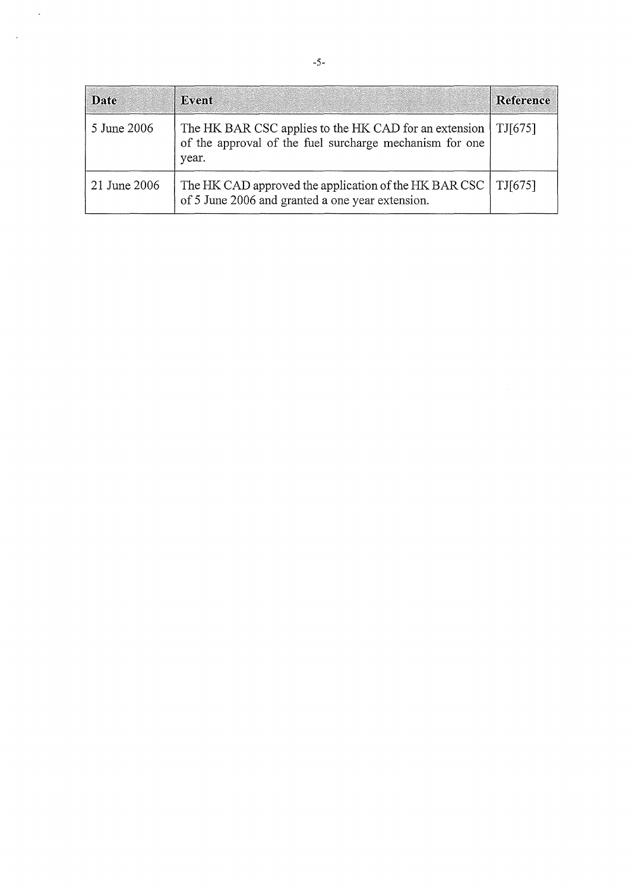| <b>Date</b>  | Event                                                                                                                     | Reference |
|--------------|---------------------------------------------------------------------------------------------------------------------------|-----------|
| 5 June 2006  | The HK BAR CSC applies to the HK CAD for an extension<br>of the approval of the fuel surcharge mechanism for one<br>year. | TI[675]   |
| 21 June 2006 | The HK CAD approved the application of the HK BAR CSC<br>of 5 June 2006 and granted a one year extension.                 | TJ[675]   |

 $\ddot{\phantom{a}}$ 

 $\overline{\phantom{a}}$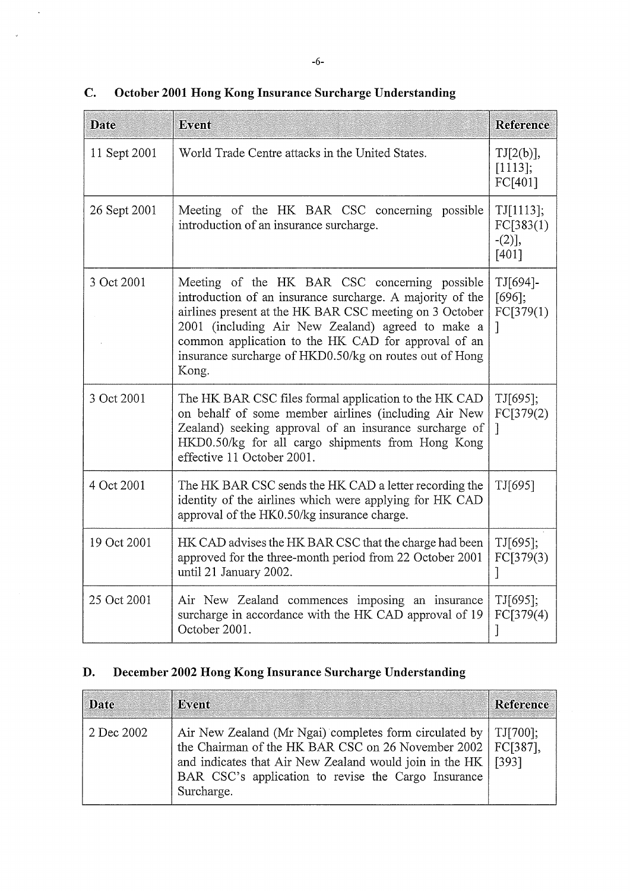| ٠<br>--<br>$-1$<br>۰.<br>$\sim$ |
|---------------------------------|
|---------------------------------|

| <b>Date</b>  | Event                                                                                                                                                                                                                                                                                                                                                 | Reference                                           |
|--------------|-------------------------------------------------------------------------------------------------------------------------------------------------------------------------------------------------------------------------------------------------------------------------------------------------------------------------------------------------------|-----------------------------------------------------|
| 11 Sept 2001 | World Trade Centre attacks in the United States.                                                                                                                                                                                                                                                                                                      | TJ[2(b)],<br>[1113];<br>FC[401]                     |
| 26 Sept 2001 | Meeting of the HK BAR CSC concerning possible<br>introduction of an insurance surcharge.                                                                                                                                                                                                                                                              | TJ[1113];<br>FC[383(1)]<br>$-(2)$ ],<br>$[401]$     |
| 3 Oct 2001   | Meeting of the HK BAR CSC concerning possible<br>introduction of an insurance surcharge. A majority of the<br>airlines present at the HK BAR CSC meeting on 3 October<br>2001 (including Air New Zealand) agreed to make a<br>common application to the HK CAD for approval of an<br>insurance surcharge of HKD0.50/kg on routes out of Hong<br>Kong. | TJ[694]-<br>[696];<br>FC[379(1)]<br>1               |
| 3 Oct 2001   | The HK BAR CSC files formal application to the HK CAD<br>on behalf of some member airlines (including Air New<br>Zealand) seeking approval of an insurance surcharge of<br>HKD0.50/kg for all cargo shipments from Hong Kong<br>effective 11 October 2001.                                                                                            | TJ[695];<br>FC[379(2)<br>$\left\lceil \right\rceil$ |
| 4 Oct 2001   | The HK BAR CSC sends the HK CAD a letter recording the<br>identity of the airlines which were applying for HK CAD<br>approval of the HK0.50/kg insurance charge.                                                                                                                                                                                      | TJ[695]                                             |
| 19 Oct 2001  | HK CAD advises the HK BAR CSC that the charge had been<br>approved for the three-month period from 22 October 2001<br>until 21 January 2002.                                                                                                                                                                                                          | TJ[695];<br>FC[379(3)]<br>1                         |
| 25 Oct 2001  | Air New Zealand commences imposing an insurance<br>surcharge in accordance with the HK CAD approval of 19<br>October 2001.                                                                                                                                                                                                                            | TJ[695];<br>FC[379(4)]                              |

## **C. October 2001 Hong Kong Insurance Surcharge Understanding**

# **D. December 2002 Hong Kong Insurance Surcharge Understanding**

| Date       | Event                                                                                                                                                                                                                                                                      | Reference |
|------------|----------------------------------------------------------------------------------------------------------------------------------------------------------------------------------------------------------------------------------------------------------------------------|-----------|
| 2 Dec 2002 | Air New Zealand (Mr Ngai) completes form circulated by   TJ[700];<br>the Chairman of the HK BAR CSC on 26 November 2002   FC[387],<br>and indicates that Air New Zealand would join in the HK   [393]<br>BAR CSC's application to revise the Cargo Insurance<br>Surcharge. |           |